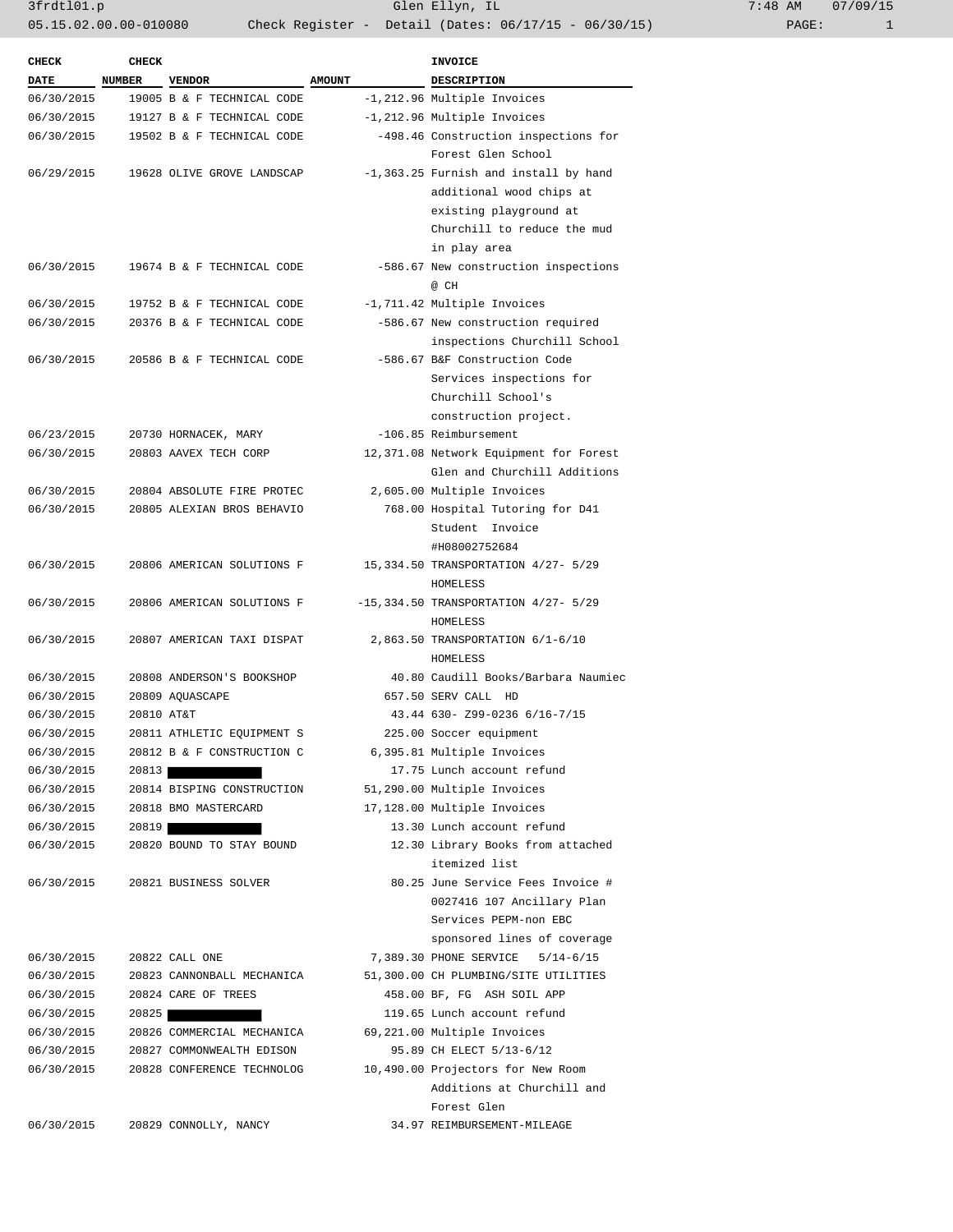3frdtl01.p Glen Ellyn, IL 7:48 AM 07/09/15 05.15.02.00.00-010080 Check Register - Detail (Dates: 06/17/15 - 06/30/15)

| <b>CHECK</b> | <b>CHECK</b>  |                                              |               | <b>INVOICE</b>                            |
|--------------|---------------|----------------------------------------------|---------------|-------------------------------------------|
| <b>DATE</b>  | <b>NUMBER</b> | <b>VENDOR</b>                                | <b>AMOUNT</b> | <b>DESCRIPTION</b>                        |
| 06/30/2015   |               | 19005 B & F TECHNICAL CODE                   |               | -1,212.96 Multiple Invoices               |
| 06/30/2015   |               | 19127 B & F TECHNICAL CODE                   |               | -1,212.96 Multiple Invoices               |
|              |               | 06/30/2015 19502 B & F TECHNICAL CODE        |               | -498.46 Construction inspections for      |
|              |               |                                              |               | Forest Glen School                        |
| 06/29/2015   |               | 19628 OLIVE GROVE LANDSCAP                   |               | -1,363.25 Furnish and install by hand     |
|              |               |                                              |               | additional wood chips at                  |
|              |               |                                              |               | existing playground at                    |
|              |               |                                              |               | Churchill to reduce the mud               |
|              |               |                                              |               | in play area                              |
| 06/30/2015   |               | 19674 B & F TECHNICAL CODE                   |               | -586.67 New construction inspections      |
|              |               |                                              |               | @ CH                                      |
| 06/30/2015   |               | 19752 B & F TECHNICAL CODE                   |               | -1,711.42 Multiple Invoices               |
| 06/30/2015   |               | 20376 B & F TECHNICAL CODE                   |               | -586.67 New construction required         |
|              |               |                                              |               |                                           |
|              |               |                                              |               | inspections Churchill School              |
| 06/30/2015   |               | 20586 B & F TECHNICAL CODE                   |               | -586.67 B&F Construction Code             |
|              |               |                                              |               | Services inspections for                  |
|              |               |                                              |               | Churchill School's                        |
|              |               |                                              |               | construction project.                     |
| 06/23/2015   |               | 20730 HORNACEK, MARY                         |               | -106.85 Reimbursement                     |
| 06/30/2015   |               | 20803 AAVEX TECH CORP                        |               | 12,371.08 Network Equipment for Forest    |
|              |               |                                              |               | Glen and Churchill Additions              |
| 06/30/2015   |               | 20804 ABSOLUTE FIRE PROTEC                   |               | 2,605.00 Multiple Invoices                |
| 06/30/2015   |               | 20805 ALEXIAN BROS BEHAVIO                   |               | 768.00 Hospital Tutoring for D41          |
|              |               |                                              |               | Student Invoice                           |
|              |               |                                              |               | #H08002752684                             |
| 06/30/2015   |               | 20806 AMERICAN SOLUTIONS F                   |               | 15,334.50 TRANSPORTATION 4/27- 5/29       |
|              |               |                                              |               | HOMELESS                                  |
| 06/30/2015   |               | 20806 AMERICAN SOLUTIONS F                   |               | $-15,334.50$ TRANSPORTATION $4/27 - 5/29$ |
|              |               |                                              |               | HOMELESS                                  |
| 06/30/2015   |               | 20807 AMERICAN TAXI DISPAT                   |               | 2,863.50 TRANSPORTATION 6/1-6/10          |
|              |               |                                              |               | <b>HOMELESS</b>                           |
| 06/30/2015   |               | 20808 ANDERSON'S BOOKSHOP                    |               | 40.80 Caudill Books/Barbara Naumiec       |
| 06/30/2015   |               | 20809 AQUASCAPE                              |               | 657.50 SERV CALL HD                       |
| 06/30/2015   | 20810 AT&T    |                                              |               | 43.44 630- Z99-0236 6/16-7/15             |
| 06/30/2015   |               | 20811 ATHLETIC EQUIPMENT S                   |               | 225.00 Soccer equipment                   |
| 06/30/2015   |               | 20812 B & F CONSTRUCTION C                   |               | 6,395.81 Multiple Invoices                |
| 06/30/2015   | 20813         |                                              |               | 17.75 Lunch account refund                |
| 06/30/2015   |               | 20814 BISPING CONSTRUCTION                   |               | 51,290.00 Multiple Invoices               |
| 06/30/2015   |               | 20818 BMO MASTERCARD                         |               | 17,128.00 Multiple Invoices               |
| 06/30/2015   | 20819         |                                              |               | 13.30 Lunch account refund                |
| 06/30/2015   |               | 20820 BOUND TO STAY BOUND                    |               | 12.30 Library Books from attached         |
|              |               |                                              |               | itemized list                             |
| 06/30/2015   |               | 20821 BUSINESS SOLVER                        |               | 80.25 June Service Fees Invoice #         |
|              |               |                                              |               | 0027416 107 Ancillary Plan                |
|              |               |                                              |               | Services PEPM-non EBC                     |
|              |               |                                              |               | sponsored lines of coverage               |
|              |               |                                              |               |                                           |
| 06/30/2015   |               | 20822 CALL ONE<br>20823 CANNONBALL MECHANICA |               | 7,389.30 PHONE SERVICE<br>$5/14 - 6/15$   |
| 06/30/2015   |               |                                              |               | 51,300.00 CH PLUMBING/SITE UTILITIES      |
| 06/30/2015   |               | 20824 CARE OF TREES                          |               | 458.00 BF, FG ASH SOIL APP                |
| 06/30/2015   | 20825         |                                              |               | 119.65 Lunch account refund               |
| 06/30/2015   |               | 20826 COMMERCIAL MECHANICA                   |               | 69,221.00 Multiple Invoices               |
| 06/30/2015   |               | 20827 COMMONWEALTH EDISON                    |               | 95.89 CH ELECT 5/13-6/12                  |
| 06/30/2015   |               | 20828 CONFERENCE TECHNOLOG                   |               | 10,490.00 Projectors for New Room         |
|              |               |                                              |               | Additions at Churchill and                |
|              |               |                                              |               | Forest Glen                               |
| 06/30/2015   |               | 20829 CONNOLLY, NANCY                        |               | 34.97 REIMBURSEMENT-MILEAGE               |
|              |               |                                              |               |                                           |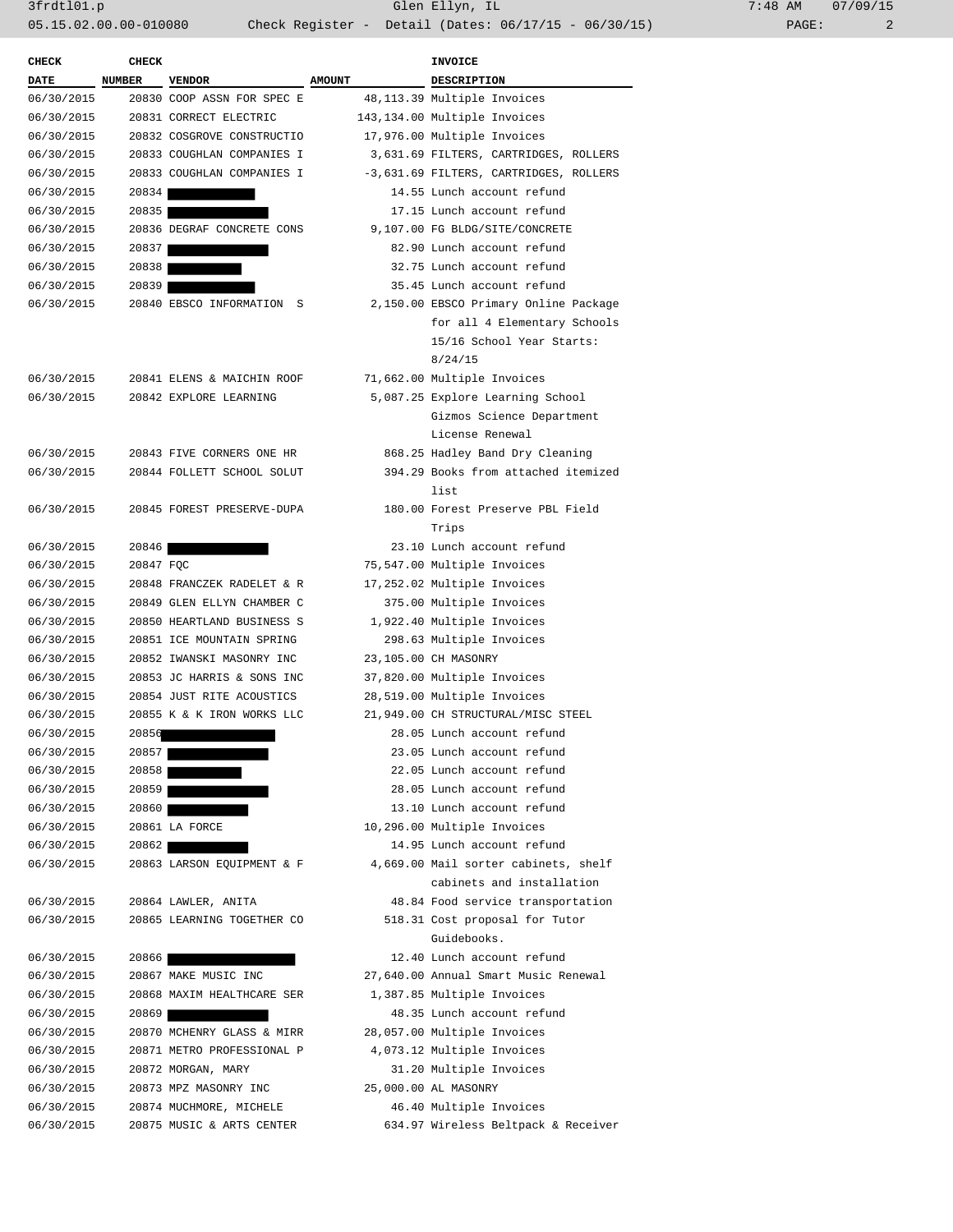3frdtl01.p Glen Ellyn, IL 7:48 AM 07/09/15 05.15.02.00.00-010080 Check Register - Detail (Dates: 06/17/15 - 06/30/15) PAGE: 2

| <b>CHECK</b> | <b>CHECK</b> |                            |               | INVOICE                                                                                                       |  |
|--------------|--------------|----------------------------|---------------|---------------------------------------------------------------------------------------------------------------|--|
| <b>DATE</b>  | NUMBER       | <b>VENDOR</b>              | <b>AMOUNT</b> | <b>DESCRIPTION</b>                                                                                            |  |
| 06/30/2015   |              | 20830 COOP ASSN FOR SPEC E |               | 48,113.39 Multiple Invoices                                                                                   |  |
| 06/30/2015   |              | 20831 CORRECT ELECTRIC     |               | 143,134.00 Multiple Invoices                                                                                  |  |
| 06/30/2015   |              | 20832 COSGROVE CONSTRUCTIO |               | 17,976.00 Multiple Invoices                                                                                   |  |
| 06/30/2015   |              | 20833 COUGHLAN COMPANIES I |               | 3,631.69 FILTERS, CARTRIDGES, ROLLERS                                                                         |  |
| 06/30/2015   |              | 20833 COUGHLAN COMPANIES I |               | -3,631.69 FILTERS, CARTRIDGES, ROLLERS                                                                        |  |
| 06/30/2015   | 20834        |                            |               | 14.55 Lunch account refund                                                                                    |  |
| 06/30/2015   | 20835        |                            |               | 17.15 Lunch account refund                                                                                    |  |
| 06/30/2015   |              | 20836 DEGRAF CONCRETE CONS |               | 9,107.00 FG BLDG/SITE/CONCRETE                                                                                |  |
| 06/30/2015   | 20837        |                            |               | 82.90 Lunch account refund                                                                                    |  |
| 06/30/2015   | 20838        |                            |               | 32.75 Lunch account refund                                                                                    |  |
| 06/30/2015   | 20839        |                            |               | 35.45 Lunch account refund                                                                                    |  |
| 06/30/2015   |              | 20840 EBSCO INFORMATION S  |               | 2,150.00 EBSCO Primary Online Package<br>for all 4 Elementary Schools<br>15/16 School Year Starts:<br>8/24/15 |  |
| 06/30/2015   |              | 20841 ELENS & MAICHIN ROOF |               | 71,662.00 Multiple Invoices                                                                                   |  |
| 06/30/2015   |              | 20842 EXPLORE LEARNING     |               | 5,087.25 Explore Learning School<br>Gizmos Science Department<br>License Renewal                              |  |
| 06/30/2015   |              | 20843 FIVE CORNERS ONE HR  |               | 868.25 Hadley Band Dry Cleaning                                                                               |  |
| 06/30/2015   |              | 20844 FOLLETT SCHOOL SOLUT |               | 394.29 Books from attached itemized<br>list                                                                   |  |
| 06/30/2015   |              | 20845 FOREST PRESERVE-DUPA |               | 180.00 Forest Preserve PBL Field<br>Trips                                                                     |  |
| 06/30/2015   | 20846        |                            |               | 23.10 Lunch account refund                                                                                    |  |
| 06/30/2015   | 20847 FQC    |                            |               | 75,547.00 Multiple Invoices                                                                                   |  |
| 06/30/2015   |              | 20848 FRANCZEK RADELET & R |               | 17,252.02 Multiple Invoices                                                                                   |  |
| 06/30/2015   |              | 20849 GLEN ELLYN CHAMBER C |               | 375.00 Multiple Invoices                                                                                      |  |
| 06/30/2015   |              | 20850 HEARTLAND BUSINESS S |               | 1,922.40 Multiple Invoices                                                                                    |  |
| 06/30/2015   |              | 20851 ICE MOUNTAIN SPRING  |               | 298.63 Multiple Invoices                                                                                      |  |
| 06/30/2015   |              | 20852 IWANSKI MASONRY INC  |               | 23,105.00 CH MASONRY                                                                                          |  |
| 06/30/2015   |              | 20853 JC HARRIS & SONS INC |               | 37,820.00 Multiple Invoices                                                                                   |  |
| 06/30/2015   |              | 20854 JUST RITE ACOUSTICS  |               | 28,519.00 Multiple Invoices                                                                                   |  |
| 06/30/2015   |              | 20855 K & K IRON WORKS LLC |               | 21,949.00 CH STRUCTURAL/MISC STEEL                                                                            |  |
| 06/30/2015   | 20856        |                            |               | 28.05 Lunch account refund                                                                                    |  |
| 06/30/2015   | 20857        |                            |               | 23.05 Lunch account refund                                                                                    |  |
| 06/30/2015   | 20858        |                            |               | 22.05 Lunch account refund                                                                                    |  |
| 06/30/2015   | 20859        |                            |               | 28.05 Lunch account refund                                                                                    |  |
| 06/30/2015   | 20860        |                            |               | 13.10 Lunch account refund                                                                                    |  |
| 06/30/2015   |              | 20861 LA FORCE             |               | 10,296.00 Multiple Invoices                                                                                   |  |
| 06/30/2015   | 20862        |                            |               | 14.95 Lunch account refund                                                                                    |  |
| 06/30/2015   |              | 20863 LARSON EQUIPMENT & F |               | 4,669.00 Mail sorter cabinets, shelf<br>cabinets and installation                                             |  |
| 06/30/2015   |              | 20864 LAWLER, ANITA        |               | 48.84 Food service transportation                                                                             |  |
| 06/30/2015   |              | 20865 LEARNING TOGETHER CO |               | 518.31 Cost proposal for Tutor<br>Guidebooks.                                                                 |  |
| 06/30/2015   | 20866        |                            |               | 12.40 Lunch account refund                                                                                    |  |
| 06/30/2015   |              | 20867 MAKE MUSIC INC       |               | 27,640.00 Annual Smart Music Renewal                                                                          |  |
| 06/30/2015   |              | 20868 MAXIM HEALTHCARE SER |               | 1,387.85 Multiple Invoices                                                                                    |  |
| 06/30/2015   | 20869        |                            |               | 48.35 Lunch account refund                                                                                    |  |
| 06/30/2015   |              | 20870 MCHENRY GLASS & MIRR |               | 28,057.00 Multiple Invoices                                                                                   |  |
| 06/30/2015   |              | 20871 METRO PROFESSIONAL P |               | 4,073.12 Multiple Invoices                                                                                    |  |
| 06/30/2015   |              | 20872 MORGAN, MARY         |               | 31.20 Multiple Invoices                                                                                       |  |
| 06/30/2015   |              | 20873 MPZ MASONRY INC      |               | 25,000.00 AL MASONRY                                                                                          |  |
| 06/30/2015   |              | 20874 MUCHMORE, MICHELE    |               | 46.40 Multiple Invoices                                                                                       |  |
|              | 06/30/2015   | 20875 MUSIC & ARTS CENTER  |               | 634.97 Wireless Beltpack & Receiver                                                                           |  |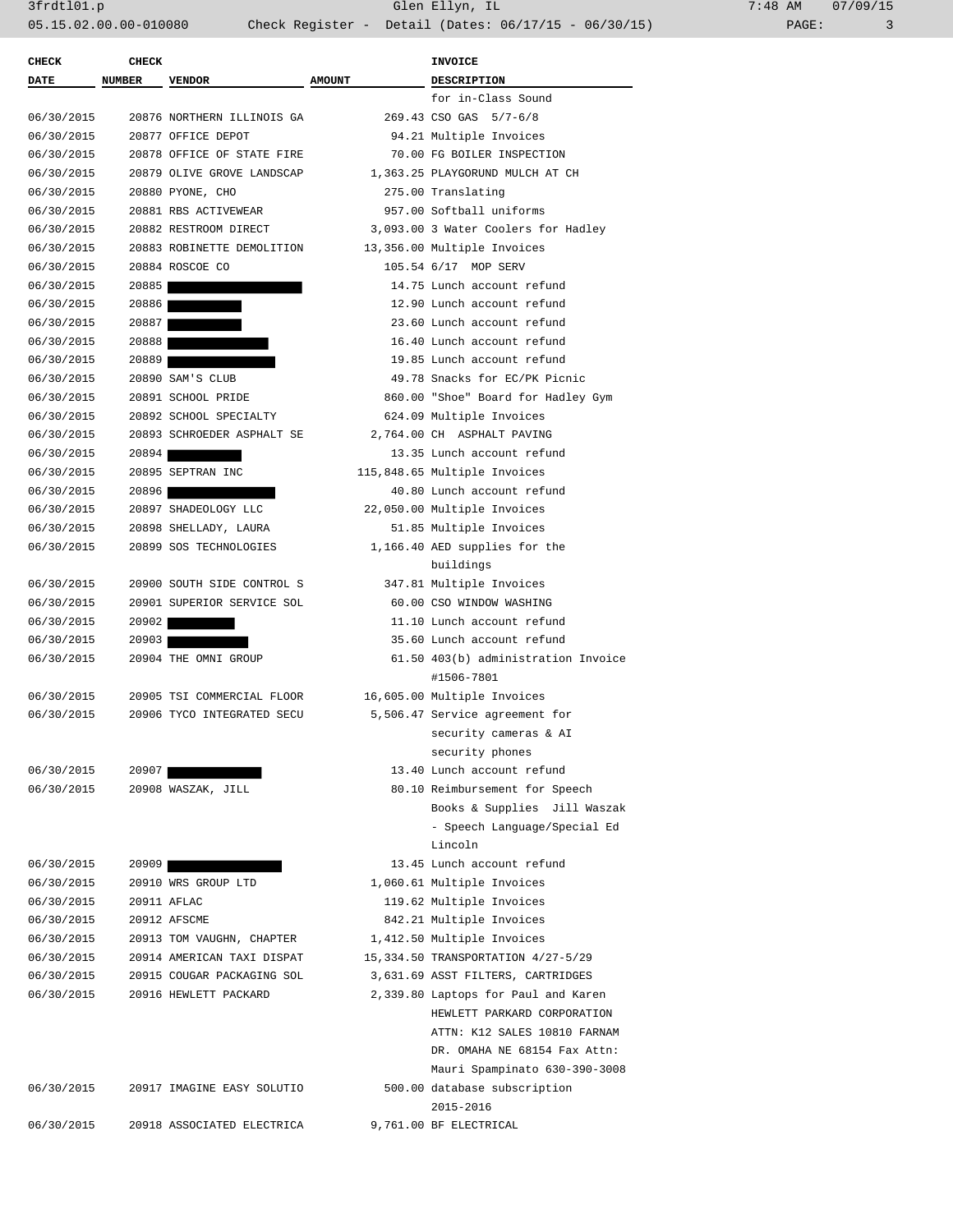3frdtl01.p Glen Ellyn, IL 7:48 AM 07/09/15

PAGE: 3

| <b>CHECK</b> | <b>CHECK</b>  |                            |               | <b>INVOICE</b>                      |
|--------------|---------------|----------------------------|---------------|-------------------------------------|
| DATE         | <b>NUMBER</b> | <b>VENDOR</b>              | <b>AMOUNT</b> | <b>DESCRIPTION</b>                  |
|              |               |                            |               | for in-Class Sound                  |
| 06/30/2015   |               | 20876 NORTHERN ILLINOIS GA |               | 269.43 CSO GAS 5/7-6/8              |
| 06/30/2015   |               | 20877 OFFICE DEPOT         |               | 94.21 Multiple Invoices             |
| 06/30/2015   |               | 20878 OFFICE OF STATE FIRE |               | 70.00 FG BOILER INSPECTION          |
| 06/30/2015   |               | 20879 OLIVE GROVE LANDSCAP |               | 1,363.25 PLAYGORUND MULCH AT CH     |
| 06/30/2015   |               | 20880 PYONE, CHO           |               | 275.00 Translating                  |
| 06/30/2015   |               | 20881 RBS ACTIVEWEAR       |               | 957.00 Softball uniforms            |
| 06/30/2015   |               | 20882 RESTROOM DIRECT      |               | 3,093.00 3 Water Coolers for Hadley |
| 06/30/2015   |               | 20883 ROBINETTE DEMOLITION |               | 13,356.00 Multiple Invoices         |
| 06/30/2015   |               | 20884 ROSCOE CO            |               | 105.54 6/17 MOP SERV                |
| 06/30/2015   | 20885         |                            |               | 14.75 Lunch account refund          |
| 06/30/2015   | 20886         |                            |               | 12.90 Lunch account refund          |
| 06/30/2015   | 20887         |                            |               | 23.60 Lunch account refund          |
| 06/30/2015   | 20888         |                            |               | 16.40 Lunch account refund          |
| 06/30/2015   | 20889         |                            |               | 19.85 Lunch account refund          |
| 06/30/2015   |               | 20890 SAM'S CLUB           |               | 49.78 Snacks for EC/PK Picnic       |
| 06/30/2015   |               | 20891 SCHOOL PRIDE         |               | 860.00 "Shoe" Board for Hadley Gym  |
| 06/30/2015   |               | 20892 SCHOOL SPECIALTY     |               | 624.09 Multiple Invoices            |
| 06/30/2015   |               | 20893 SCHROEDER ASPHALT SE |               | 2,764.00 CH ASPHALT PAVING          |
| 06/30/2015   | 20894         |                            |               | 13.35 Lunch account refund          |
| 06/30/2015   |               | 20895 SEPTRAN INC          |               | 115,848.65 Multiple Invoices        |
| 06/30/2015   | 20896         |                            |               | 40.80 Lunch account refund          |
| 06/30/2015   |               | 20897 SHADEOLOGY LLC       |               | 22,050.00 Multiple Invoices         |
| 06/30/2015   |               | 20898 SHELLADY, LAURA      |               | 51.85 Multiple Invoices             |
| 06/30/2015   |               | 20899 SOS TECHNOLOGIES     |               | 1,166.40 AED supplies for the       |
|              |               |                            |               | buildings                           |
| 06/30/2015   |               | 20900 SOUTH SIDE CONTROL S |               | 347.81 Multiple Invoices            |
| 06/30/2015   |               | 20901 SUPERIOR SERVICE SOL |               | 60.00 CSO WINDOW WASHING            |
| 06/30/2015   | 20902         |                            |               | 11.10 Lunch account refund          |
| 06/30/2015   | 20903         |                            |               | 35.60 Lunch account refund          |
| 06/30/2015   |               | 20904 THE OMNI GROUP       |               | 61.50 403(b) administration Invoice |
|              |               |                            |               | #1506-7801                          |
| 06/30/2015   |               | 20905 TSI COMMERCIAL FLOOR |               | 16,605.00 Multiple Invoices         |
| 06/30/2015   |               | 20906 TYCO INTEGRATED SECU |               | 5,506.47 Service agreement for      |
|              |               |                            |               | security cameras & AI               |
|              |               |                            |               | security phones                     |
| 06/30/2015   | 20907         |                            |               | 13.40 Lunch account refund          |
| 06/30/2015   |               | 20908 WASZAK, JILL         |               | 80.10 Reimbursement for Speech      |
|              |               |                            |               | Books & Supplies Jill Waszak        |
|              |               |                            |               | - Speech Language/Special Ed        |
|              |               |                            |               | Lincoln                             |
| 06/30/2015   | 20909         |                            |               | 13.45 Lunch account refund          |
| 06/30/2015   |               | 20910 WRS GROUP LTD        |               | 1,060.61 Multiple Invoices          |
| 06/30/2015   |               | 20911 AFLAC                |               | 119.62 Multiple Invoices            |
| 06/30/2015   |               | 20912 AFSCME               |               | 842.21 Multiple Invoices            |
| 06/30/2015   |               | 20913 TOM VAUGHN, CHAPTER  |               | 1,412.50 Multiple Invoices          |
| 06/30/2015   |               | 20914 AMERICAN TAXI DISPAT |               | 15,334.50 TRANSPORTATION 4/27-5/29  |
| 06/30/2015   |               | 20915 COUGAR PACKAGING SOL |               | 3,631.69 ASST FILTERS, CARTRIDGES   |
| 06/30/2015   |               | 20916 HEWLETT PACKARD      |               | 2,339.80 Laptops for Paul and Karen |
|              |               |                            |               | HEWLETT PARKARD CORPORATION         |
|              |               |                            |               | ATTN: K12 SALES 10810 FARNAM        |
|              |               |                            |               | DR. OMAHA NE 68154 Fax Attn:        |
|              |               |                            |               | Mauri Spampinato 630-390-3008       |
|              |               |                            |               |                                     |
| 06/30/2015   |               | 20917 IMAGINE EASY SOLUTIO |               | 500.00 database subscription        |
|              |               |                            |               | 2015-2016                           |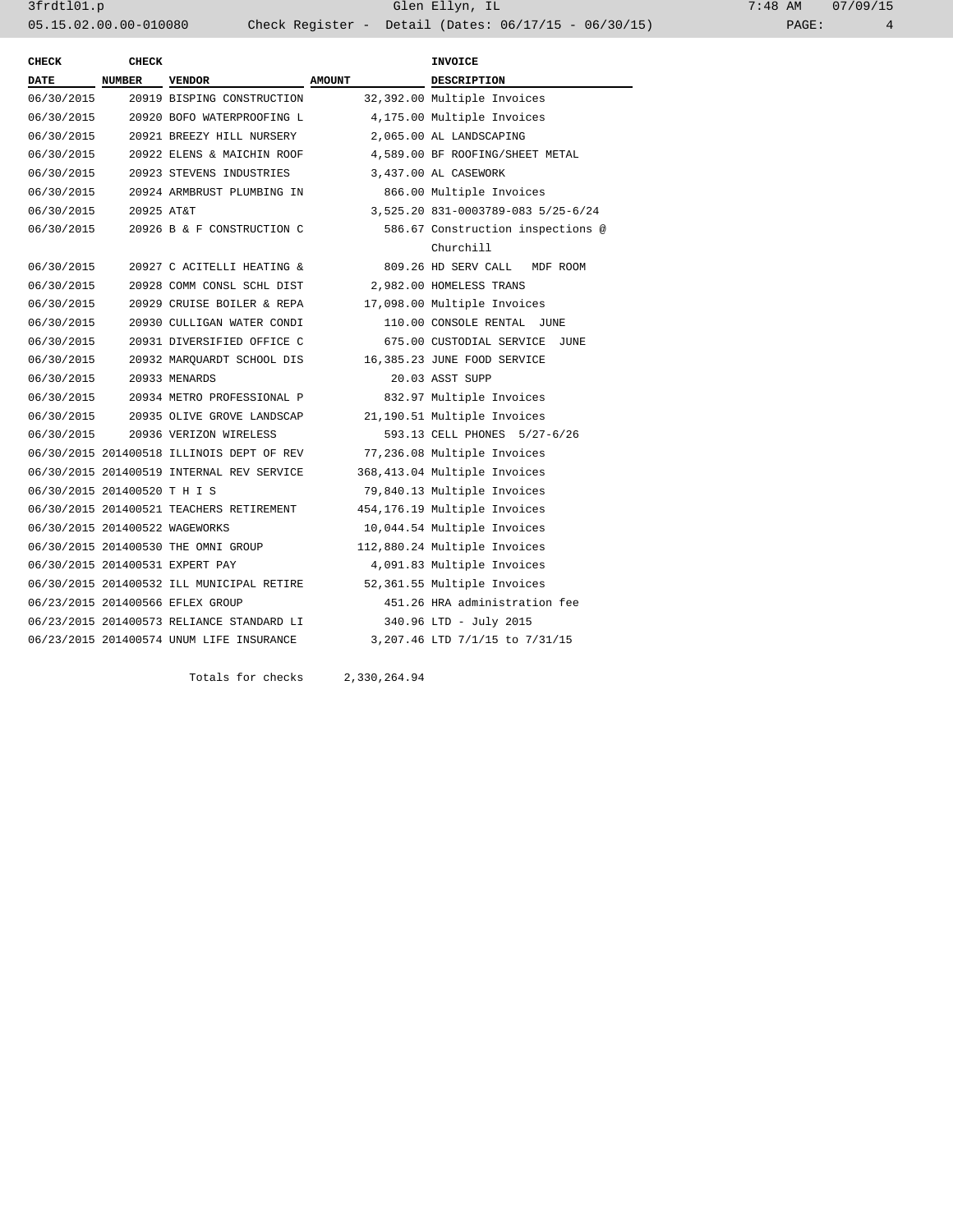3frdtl01.p Glen Ellyn, IL 7:48 AM 07/09/15 05.15.02.00.00-010080 Check Register - Detail (Dates: 06/17/15 - 06/30/15) PAGE: 4

| <b>CHECK</b>                   | <b>CHECK</b>  |                                                          |                             | <b>INVOICE</b>                     |
|--------------------------------|---------------|----------------------------------------------------------|-----------------------------|------------------------------------|
| <b>DATE</b>                    | <b>NUMBER</b> | <b>VENDOR</b>                                            | <b>AMOUNT</b>               | <b>DESCRIPTION</b>                 |
| 06/30/2015                     |               | 20919 BISPING CONSTRUCTION                               | 32,392.00 Multiple Invoices |                                    |
| 06/30/2015                     |               | 4,175.00 Multiple Invoices<br>20920 BOFO WATERPROOFING L |                             |                                    |
| 06/30/2015                     |               | 20921 BREEZY HILL NURSERY                                |                             | 2,065.00 AL LANDSCAPING            |
| 06/30/2015                     |               | 20922 ELENS & MAICHIN ROOF                               |                             | 4,589.00 BF ROOFING/SHEET METAL    |
| 06/30/2015                     |               | 20923 STEVENS INDUSTRIES                                 |                             | 3,437.00 AL CASEWORK               |
| 06/30/2015                     |               | 20924 ARMBRUST PLUMBING IN                               |                             | 866.00 Multiple Invoices           |
| 06/30/2015                     | 20925 AT&T    |                                                          |                             | 3,525.20 831-0003789-083 5/25-6/24 |
| 06/30/2015                     |               | 20926 B & F CONSTRUCTION C                               |                             | 586.67 Construction inspections @  |
|                                |               |                                                          |                             | Churchill                          |
| 06/30/2015                     |               | 20927 C ACITELLI HEATING &                               |                             | 809.26 HD SERV CALL<br>MDF ROOM    |
| 06/30/2015                     |               | 20928 COMM CONSL SCHL DIST                               |                             | 2,982.00 HOMELESS TRANS            |
| 06/30/2015                     |               | 20929 CRUISE BOILER & REPA                               |                             | 17,098.00 Multiple Invoices        |
| 06/30/2015                     |               | 20930 CULLIGAN WATER CONDI                               |                             | 110.00 CONSOLE RENTAL<br>JUNE      |
| 06/30/2015                     |               | 20931 DIVERSIFIED OFFICE C                               |                             | 675.00 CUSTODIAL SERVICE<br>JUNE   |
| 06/30/2015                     |               | 20932 MAROUARDT SCHOOL DIS                               |                             | 16,385.23 JUNE FOOD SERVICE        |
| 06/30/2015                     |               | 20933 MENARDS                                            |                             | 20.03 ASST SUPP                    |
| 06/30/2015                     |               | 20934 METRO PROFESSIONAL P                               |                             | 832.97 Multiple Invoices           |
| 06/30/2015                     |               | 20935 OLIVE GROVE LANDSCAP                               |                             | 21,190.51 Multiple Invoices        |
| 06/30/2015                     |               | 20936 VERIZON WIRELESS                                   |                             | 593.13 CELL PHONES 5/27-6/26       |
|                                |               | 06/30/2015 201400518 ILLINOIS DEPT OF REV                |                             | 77,236.08 Multiple Invoices        |
|                                |               | 06/30/2015 201400519 INTERNAL REV SERVICE                |                             | 368,413.04 Multiple Invoices       |
| 06/30/2015 201400520 T H I S   |               |                                                          |                             | 79,840.13 Multiple Invoices        |
|                                |               | 06/30/2015 201400521 TEACHERS RETIREMENT                 |                             | 454,176.19 Multiple Invoices       |
| 06/30/2015 201400522 WAGEWORKS |               |                                                          |                             | 10,044.54 Multiple Invoices        |
|                                |               | 06/30/2015 201400530 THE OMNI GROUP                      |                             | 112,880.24 Multiple Invoices       |
|                                |               | 06/30/2015 201400531 EXPERT PAY                          |                             | 4,091.83 Multiple Invoices         |
|                                |               | 06/30/2015 201400532 ILL MUNICIPAL RETIRE                |                             | 52,361.55 Multiple Invoices        |
|                                |               | 06/23/2015 201400566 EFLEX GROUP                         |                             | 451.26 HRA administration fee      |
|                                |               | 06/23/2015 201400573 RELIANCE STANDARD LI                |                             | 340.96 LTD - July 2015             |
|                                |               | 06/23/2015 201400574 UNUM LIFE INSURANCE                 |                             | 3,207.46 LTD 7/1/15 to 7/31/15     |
|                                |               |                                                          |                             |                                    |

Totals for checks 2,330,264.94